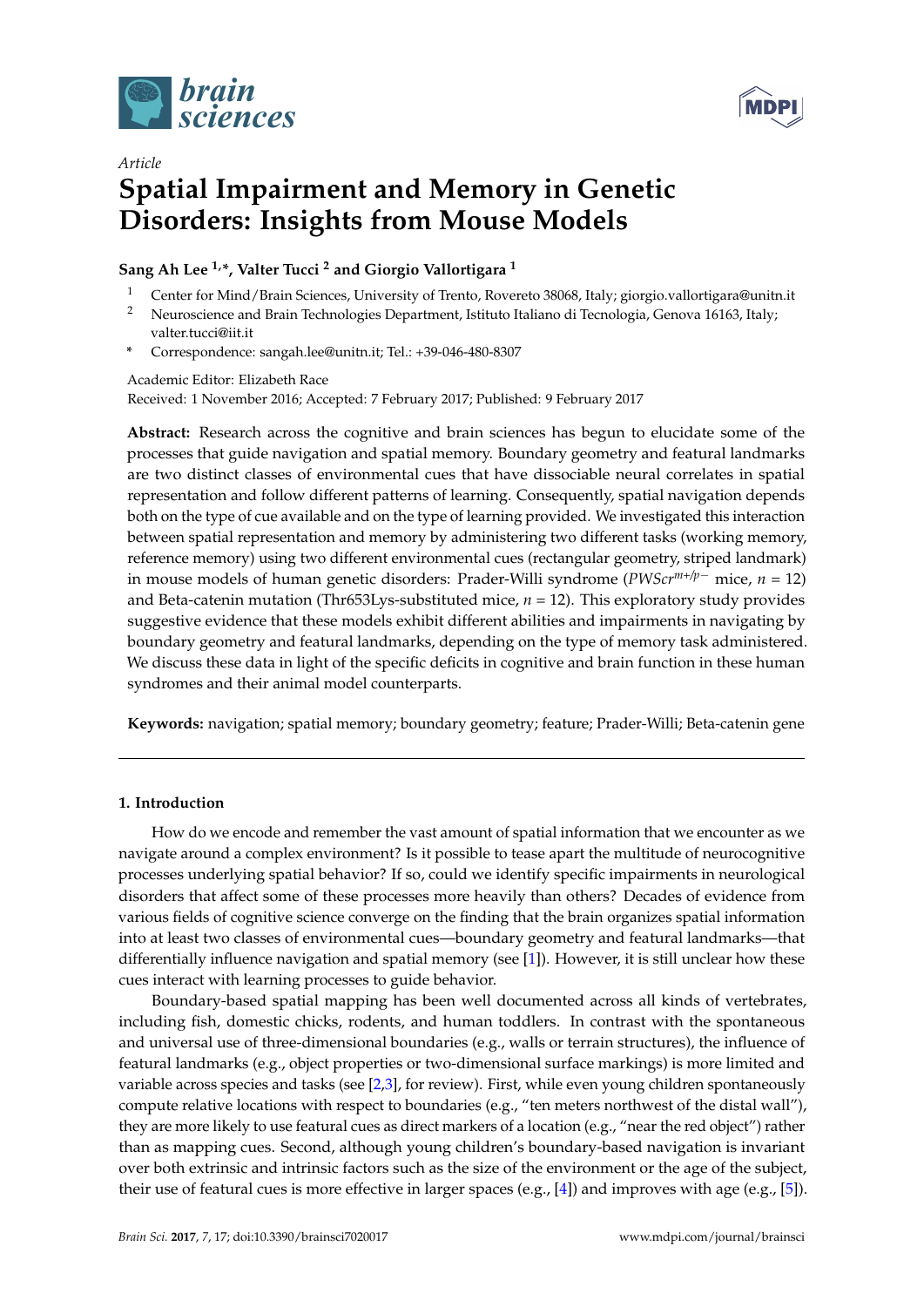



# *Article* **Spatial Impairment and Memory in Genetic Disorders: Insights from Mouse Models**

# **Sang Ah Lee 1,\*, Valter Tucci <sup>2</sup> and Giorgio Vallortigara <sup>1</sup>**

- <sup>1</sup> Center for Mind/Brain Sciences, University of Trento, Rovereto 38068, Italy; giorgio.vallortigara@unitn.it
- <sup>2</sup> Neuroscience and Brain Technologies Department, Istituto Italiano di Tecnologia, Genova 16163, Italy; valter.tucci@iit.it
- **\*** Correspondence: sangah.lee@unitn.it; Tel.: +39-046-480-8307

Academic Editor: Elizabeth Race Received: 1 November 2016; Accepted: 7 February 2017; Published: 9 February 2017

**Abstract:** Research across the cognitive and brain sciences has begun to elucidate some of the processes that guide navigation and spatial memory. Boundary geometry and featural landmarks are two distinct classes of environmental cues that have dissociable neural correlates in spatial representation and follow different patterns of learning. Consequently, spatial navigation depends both on the type of cue available and on the type of learning provided. We investigated this interaction between spatial representation and memory by administering two different tasks (working memory, reference memory) using two different environmental cues (rectangular geometry, striped landmark) in mouse models of human genetic disorders: Prader-Willi syndrome (*PWScrm+/p*<sup>−</sup> mice, *n* = 12) and Beta-catenin mutation (Thr653Lys-substituted mice, *n* = 12). This exploratory study provides suggestive evidence that these models exhibit different abilities and impairments in navigating by boundary geometry and featural landmarks, depending on the type of memory task administered. We discuss these data in light of the specific deficits in cognitive and brain function in these human syndromes and their animal model counterparts.

**Keywords:** navigation; spatial memory; boundary geometry; feature; Prader-Willi; Beta-catenin gene

# **1. Introduction**

How do we encode and remember the vast amount of spatial information that we encounter as we navigate around a complex environment? Is it possible to tease apart the multitude of neurocognitive processes underlying spatial behavior? If so, could we identify specific impairments in neurological disorders that affect some of these processes more heavily than others? Decades of evidence from various fields of cognitive science converge on the finding that the brain organizes spatial information into at least two classes of environmental cues—boundary geometry and featural landmarks—that differentially influence navigation and spatial memory (see [\[1\]](#page-6-0)). However, it is still unclear how these cues interact with learning processes to guide behavior.

Boundary-based spatial mapping has been well documented across all kinds of vertebrates, including fish, domestic chicks, rodents, and human toddlers. In contrast with the spontaneous and universal use of three-dimensional boundaries (e.g., walls or terrain structures), the influence of featural landmarks (e.g., object properties or two-dimensional surface markings) is more limited and variable across species and tasks (see [\[2,](#page-6-1)[3\]](#page-6-2), for review). First, while even young children spontaneously compute relative locations with respect to boundaries (e.g., "ten meters northwest of the distal wall"), they are more likely to use featural cues as direct markers of a location (e.g., "near the red object") rather than as mapping cues. Second, although young children's boundary-based navigation is invariant over both extrinsic and intrinsic factors such as the size of the environment or the age of the subject, their use of featural cues is more effective in larger spaces (e.g., [\[4\]](#page-6-3)) and improves with age (e.g., [\[5\]](#page-6-4)).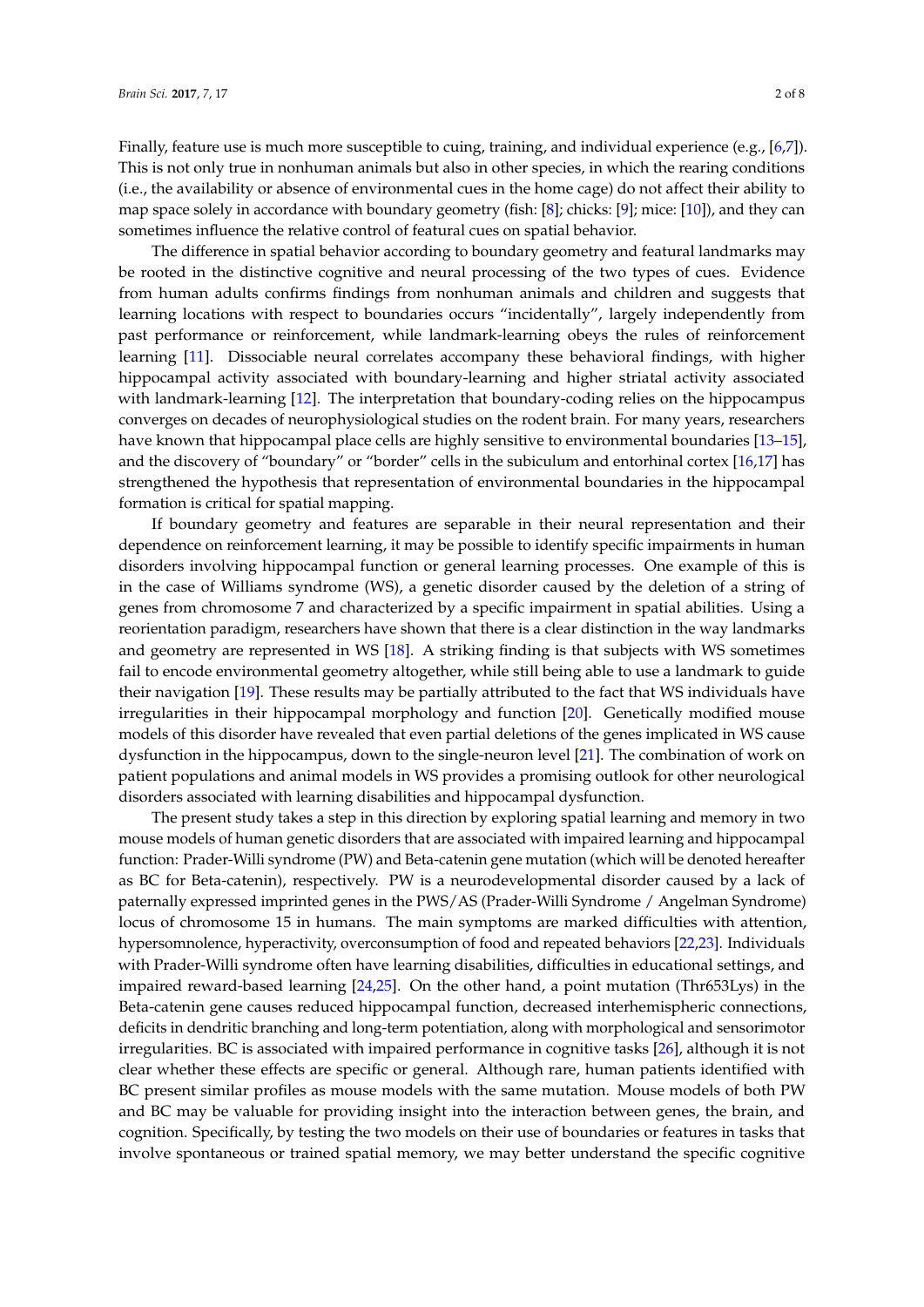Finally, feature use is much more susceptible to cuing, training, and individual experience (e.g., [\[6](#page-6-5)[,7\]](#page-6-6)). This is not only true in nonhuman animals but also in other species, in which the rearing conditions (i.e., the availability or absence of environmental cues in the home cage) do not affect their ability to map space solely in accordance with boundary geometry (fish: [\[8\]](#page-6-7); chicks: [\[9\]](#page-6-8); mice: [\[10\]](#page-6-9)), and they can sometimes influence the relative control of featural cues on spatial behavior.

The difference in spatial behavior according to boundary geometry and featural landmarks may be rooted in the distinctive cognitive and neural processing of the two types of cues. Evidence from human adults confirms findings from nonhuman animals and children and suggests that learning locations with respect to boundaries occurs "incidentally", largely independently from past performance or reinforcement, while landmark-learning obeys the rules of reinforcement learning [\[11\]](#page-6-10). Dissociable neural correlates accompany these behavioral findings, with higher hippocampal activity associated with boundary-learning and higher striatal activity associated with landmark-learning [\[12\]](#page-6-11). The interpretation that boundary-coding relies on the hippocampus converges on decades of neurophysiological studies on the rodent brain. For many years, researchers have known that hippocampal place cells are highly sensitive to environmental boundaries [\[13](#page-6-12)-15], and the discovery of "boundary" or "border" cells in the subiculum and entorhinal cortex [\[16,](#page-6-14)[17\]](#page-6-15) has strengthened the hypothesis that representation of environmental boundaries in the hippocampal formation is critical for spatial mapping.

If boundary geometry and features are separable in their neural representation and their dependence on reinforcement learning, it may be possible to identify specific impairments in human disorders involving hippocampal function or general learning processes. One example of this is in the case of Williams syndrome (WS), a genetic disorder caused by the deletion of a string of genes from chromosome 7 and characterized by a specific impairment in spatial abilities. Using a reorientation paradigm, researchers have shown that there is a clear distinction in the way landmarks and geometry are represented in WS [\[18\]](#page-6-16). A striking finding is that subjects with WS sometimes fail to encode environmental geometry altogether, while still being able to use a landmark to guide their navigation [\[19\]](#page-6-17). These results may be partially attributed to the fact that WS individuals have irregularities in their hippocampal morphology and function [\[20\]](#page-6-18). Genetically modified mouse models of this disorder have revealed that even partial deletions of the genes implicated in WS cause dysfunction in the hippocampus, down to the single-neuron level [\[21\]](#page-7-0). The combination of work on patient populations and animal models in WS provides a promising outlook for other neurological disorders associated with learning disabilities and hippocampal dysfunction.

The present study takes a step in this direction by exploring spatial learning and memory in two mouse models of human genetic disorders that are associated with impaired learning and hippocampal function: Prader-Willi syndrome (PW) and Beta-catenin gene mutation (which will be denoted hereafter as BC for Beta-catenin), respectively. PW is a neurodevelopmental disorder caused by a lack of paternally expressed imprinted genes in the PWS/AS (Prader-Willi Syndrome / Angelman Syndrome) locus of chromosome 15 in humans. The main symptoms are marked difficulties with attention, hypersomnolence, hyperactivity, overconsumption of food and repeated behaviors [\[22](#page-7-1)[,23\]](#page-7-2). Individuals with Prader-Willi syndrome often have learning disabilities, difficulties in educational settings, and impaired reward-based learning  $[24,25]$  $[24,25]$ . On the other hand, a point mutation (Thr653Lys) in the Beta-catenin gene causes reduced hippocampal function, decreased interhemispheric connections, deficits in dendritic branching and long-term potentiation, along with morphological and sensorimotor irregularities. BC is associated with impaired performance in cognitive tasks [\[26\]](#page-7-5), although it is not clear whether these effects are specific or general. Although rare, human patients identified with BC present similar profiles as mouse models with the same mutation. Mouse models of both PW and BC may be valuable for providing insight into the interaction between genes, the brain, and cognition. Specifically, by testing the two models on their use of boundaries or features in tasks that involve spontaneous or trained spatial memory, we may better understand the specific cognitive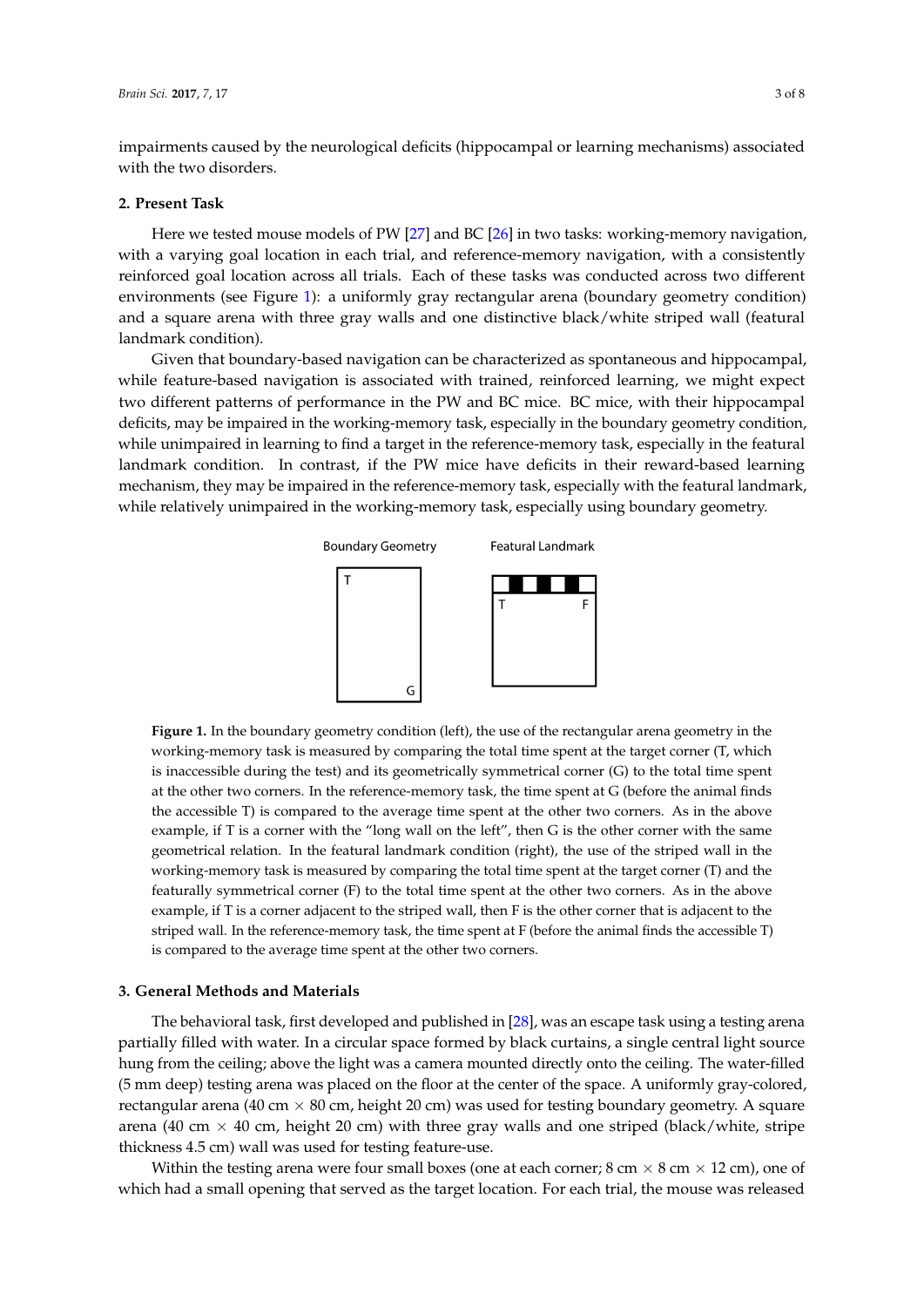impairments caused by the neurological deficits (hippocampal or learning mechanisms) associated with the two disorders. **Brain Science 2017**, **2017**, *Arr***ain Science 30, 2017**, *Properties* 

#### **2. Present Task 2. Present Task**

Here we tested mouse models of PW [\[27\]](#page-7-6) and BC [[26\]](#page-7-5) in two tasks: working-memory navigation, with a varying goal location in each trial, and reference-memory navigation, with a consistently with a varying goal location in each trial, and reference-memory navigation, with a consistently reinforced goal location across all trials. Each of these tasks was conducted across two different reinforced goal location across all trials. Each of these tasks was conducted across two different environments (see Figure [1\)](#page-2-0): a uniformly gray rectangular arena (boundary geometry condition) and a square arena with three gray walls and one distinctive black/white striped wall (featural landmark condition).

<span id="page-2-0"></span>Given that boundary-based navigation can be characterized as spontaneous and hippocampal, Given that boundary-based navigation can be characterized as spontaneous and hippocampal, while feature-based navigation is associated with trained, reinforced learning, we might expect two different patterns of performance in the PW and BC mice. BC mice, with their hippocampal deficits, may be impaired in the working-memory task, especially in the boundary geometry condition, may be impaired in the working-memory task, especially in the boundary geometry condition, while while unimpaired in learning to find a target in the reference-memory task, especially in the featural<br>. landmark condition. In contrast, if the PW mice have deficits in their reward-based learning mechanism, they may be impaired in the reference-memory task, especially with the featural landmark,<br> while relatively unimpaired in the working-memory task, especially using boundary geometry. geometry. nence, may be impaired in the working themory task, especially in the boundary geometry contains



working-memory task is measured by comparing the total time spent at the target corner (T, which is inaccessible during the test) and its geometrically symmetrical corner (G) to the total time spent at the other two corners. In the reference-memory task, the time spent at G (before the animal finds the accessible T) is compared to the average time spent at the other two corners. As in the above example, if T is a corner with the "long wall on the left", then G is the other corner with the same geometrical relation. In the featural landmark condition (right), the use of the striped wall in the working-memory task is measured by comparing the total time spent at the target corner (T) and the working-memory task is measured by comparing the total time spent at the target corner (T) and the  $f$  and the featurally symmetrical corner (F) to the total time spent at the other two corners. As in the above featurally symmetrical corner (F) to the total time spent at the other two corners. As in the above example, if T is a corner adjacent to the striped wall, then F is the other corner that is adjacent to the example, if T is a corner adjacent to the striped wall, then F is the other corner that is adjacent to the imple, if I is a corner adjacent to the striped wall, then I is the other corner that is adjacent to the striped wall. In the reference-memory task, the time spent at F (before the animal finds the accessible T) compared to the average time spent at the other two corners. is compared to the average time spent at the other two corners. **Figure 1.** In the boundary geometry condition (left), the use of the rectangular arena geometry in the

## **3. General Methods and Materials 3. General Methods and Materials**

The behavioral task, first developed and published in [28], was an escape task using a testing The behavioral task, first developed and published in [\[28\]](#page-7-7), was an escape task using a testing arena partially filled with water. In a circular space formed by black curtains, a single central light source hung from the ceiling; above the light was a camera mounted directly onto the ceiling. The water-filled (5 mm deep) testing arena was placed on the floor at the center of the space. A uniformly gray-colored, rectangular arena (40 cm  $\times$  80 cm, height 20 cm) was used for testing boundary geometry. A square arena (40 cm  $\times$  40 cm, height 20 cm) with three gray walls and one striped (black/white, stripe thickness 4.5 cm) wall was used for testing feature-use.

Within the testing arena were four small boxes (one at each corner; 8 cm  $\times$  8 cm  $\times$  12 cm), one of had a small opening that served as the target location. For each trial, the mouse was released which had a small opening that served as the target location. For each trial, the mouse was released<br>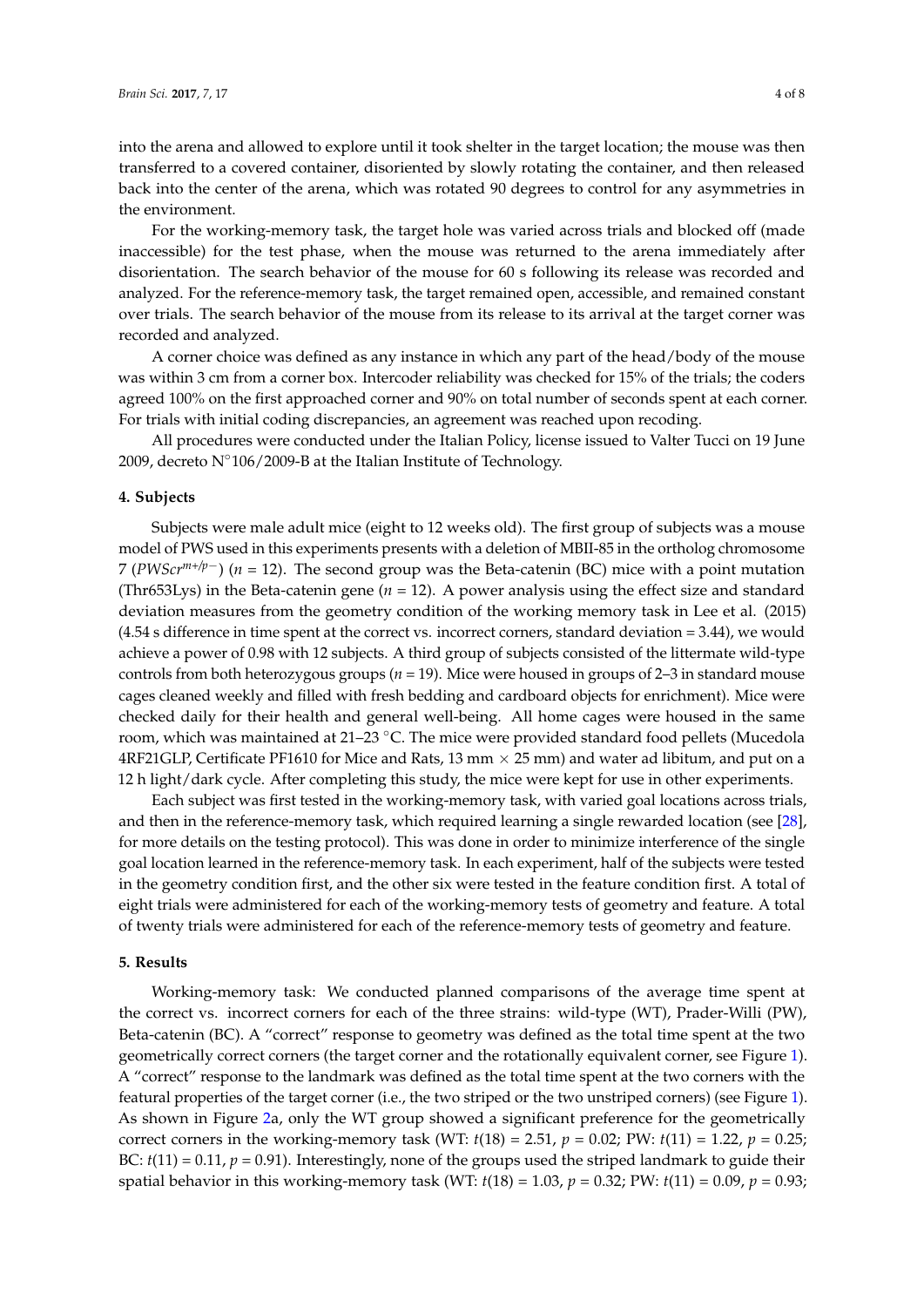into the arena and allowed to explore until it took shelter in the target location; the mouse was then transferred to a covered container, disoriented by slowly rotating the container, and then released back into the center of the arena, which was rotated 90 degrees to control for any asymmetries in the environment.

For the working-memory task, the target hole was varied across trials and blocked off (made inaccessible) for the test phase, when the mouse was returned to the arena immediately after disorientation. The search behavior of the mouse for 60 s following its release was recorded and analyzed. For the reference-memory task, the target remained open, accessible, and remained constant over trials. The search behavior of the mouse from its release to its arrival at the target corner was recorded and analyzed.

A corner choice was defined as any instance in which any part of the head/body of the mouse was within 3 cm from a corner box. Intercoder reliability was checked for 15% of the trials; the coders agreed 100% on the first approached corner and 90% on total number of seconds spent at each corner. For trials with initial coding discrepancies, an agreement was reached upon recoding.

All procedures were conducted under the Italian Policy, license issued to Valter Tucci on 19 June 2009, decreto  $N°106/2009-B$  at the Italian Institute of Technology.

#### **4. Subjects**

Subjects were male adult mice (eight to 12 weeks old). The first group of subjects was a mouse model of PWS used in this experiments presents with a deletion of MBII-85 in the ortholog chromosome 7 (*PWScrm+/p*−) (*n* = 12). The second group was the Beta-catenin (BC) mice with a point mutation (Thr653Lys) in the Beta-catenin gene (*n* = 12). A power analysis using the effect size and standard deviation measures from the geometry condition of the working memory task in Lee et al. (2015) (4.54 s difference in time spent at the correct vs. incorrect corners, standard deviation = 3.44), we would achieve a power of 0.98 with 12 subjects. A third group of subjects consisted of the littermate wild-type controls from both heterozygous groups (*n* = 19). Mice were housed in groups of 2–3 in standard mouse cages cleaned weekly and filled with fresh bedding and cardboard objects for enrichment). Mice were checked daily for their health and general well-being. All home cages were housed in the same room, which was maintained at 21–23 ℃. The mice were provided standard food pellets (Mucedola 4RF21GLP, Certificate PF1610 for Mice and Rats, 13 mm  $\times$  25 mm) and water ad libitum, and put on a 12 h light/dark cycle. After completing this study, the mice were kept for use in other experiments.

Each subject was first tested in the working-memory task, with varied goal locations across trials, and then in the reference-memory task, which required learning a single rewarded location (see [\[28\]](#page-7-7), for more details on the testing protocol). This was done in order to minimize interference of the single goal location learned in the reference-memory task. In each experiment, half of the subjects were tested in the geometry condition first, and the other six were tested in the feature condition first. A total of eight trials were administered for each of the working-memory tests of geometry and feature. A total of twenty trials were administered for each of the reference-memory tests of geometry and feature.

#### **5. Results**

Working-memory task: We conducted planned comparisons of the average time spent at the correct vs. incorrect corners for each of the three strains: wild-type (WT), Prader-Willi (PW), Beta-catenin (BC). A "correct" response to geometry was defined as the total time spent at the two geometrically correct corners (the target corner and the rotationally equivalent corner, see Figure [1\)](#page-2-0). A "correct" response to the landmark was defined as the total time spent at the two corners with the featural properties of the target corner (i.e., the two striped or the two unstriped corners) (see Figure [1\)](#page-2-0). As shown in Figure [2a](#page-4-0), only the WT group showed a significant preference for the geometrically correct corners in the working-memory task (WT:  $t(18) = 2.51$ ,  $p = 0.02$ ; PW:  $t(11) = 1.22$ ,  $p = 0.25$ ; BC:  $t(11) = 0.11$ ,  $p = 0.91$ ). Interestingly, none of the groups used the striped landmark to guide their spatial behavior in this working-memory task (WT: *t*(18) = 1.03, *p* = 0.32; PW: *t*(11) = 0.09, *p* = 0.93;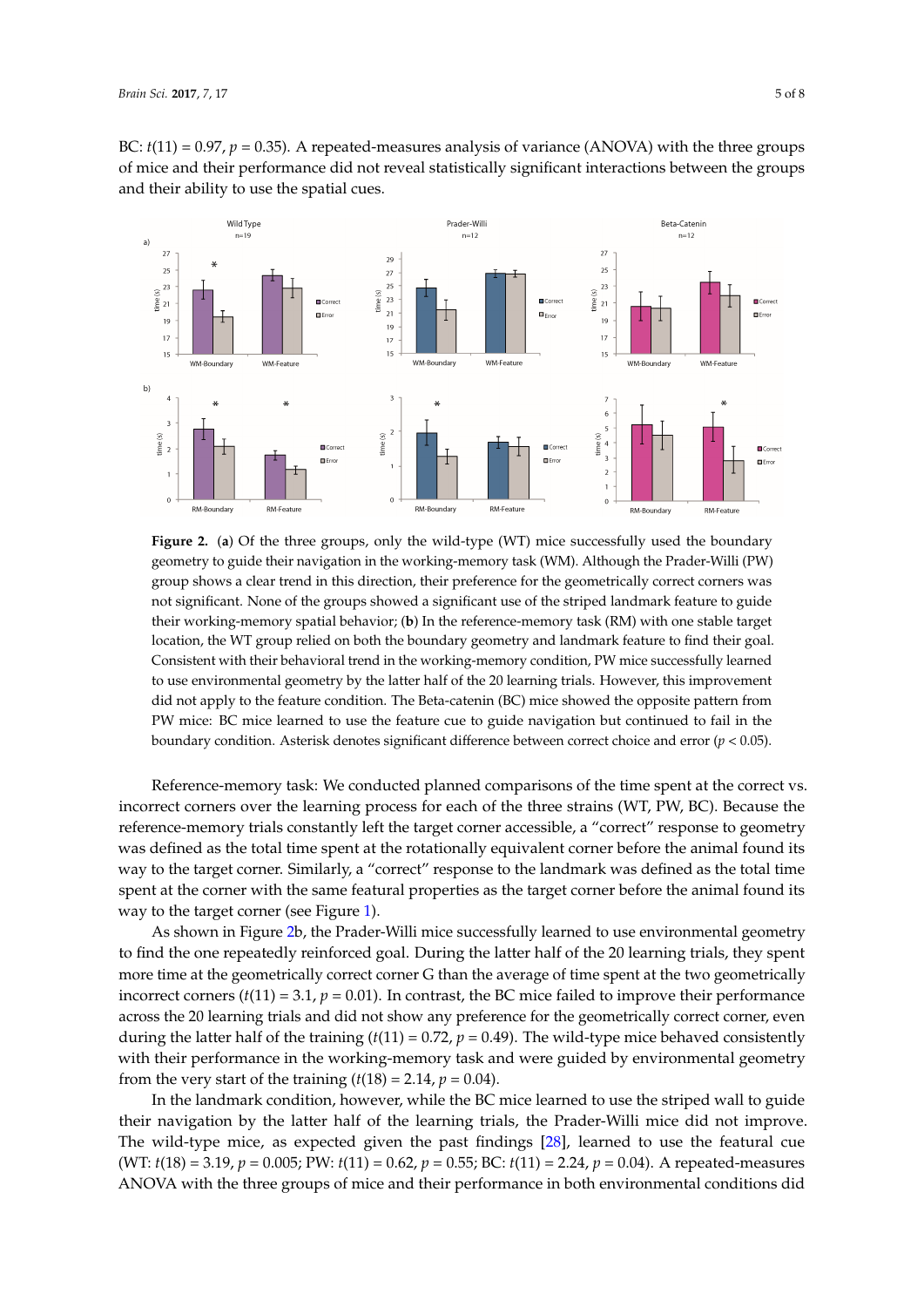BC:  $t(11) = 0.97$ ,  $p = 0.35$ ). A repeated-measures analysis of variance (ANOVA) with the three groups of mice and their performance did not reveal statistically significant interactions between the groups and their ability to use the spatial cues.

<span id="page-4-0"></span>

geometry to guide their navigation in the working-memory task (WM). Although the Prader-Willi (PW) group shows a clear trend in this direction, their preference for the geometrically correct corners was not significant. None of the groups showed a significant use of the striped landmark feature to guide their working-memory spatial behavior; (**b**) In the reference-memory task (RM) with one stable target location, the WT group relied on both the boundary geometry and landmark feature to find their goal. Consistent with their behavioral trend in the working-memory condition, PW mice successfully learned to use environmental geometry by the latter half of the 20 learning trials. However, this improvement did not apply to the feature condition. The Beta-catenin (BC) mice showed the opposite pattern from PW mice: BC mice learned to use the feature cue to guide navigation but continued to fail in the boundary condition. Asterisk denotes significant difference between correct choice and error (*p* < 0.05). **Figure 2.** (**a**) Of the three groups, only the wild-type (WT) mice successfully used the boundary

Reference-memory task: We conducted planned comparisons of the time spent at the correct vs. reference-memory trials constantly left the target corner accessible, a "correct" response to geometry was defined as the total time spent at the rotationally equivalent corner before the animal found its way to the target corner. Similarly, a "correct" response to the landmark was defined as the total time spent at the corner with the same featural properties as the target corner before the animal found its  $\frac{1}{2}$ way to the target corner (see Figure [1\)](#page-2-0). incorrect corners over the learning process for each of the three strains (WT, PW, BC). Because the

As shown in Figure [2b](#page-4-0), the Prader-Willi mice successfully learned to use environmental geometry to find the one repeatedly reinforced goal. During the latter half of the 20 learning trials, they spent more time at the geometrically correct corner G than the average of time spent at the two geometrically incorrect corners (*t*(11) = 3.1, *p* = 0.01). In contrast, the BC mice failed to improve their performance across the 20 learning trials and did not show any preference for the geometrically correct corner, even during the latter half of the training ( $t(11) = 0.72$ ,  $p = 0.49$ ). The wild-type mice behaved consistently with their performance in the working-memory task and were guided by environmental geometry from the very start of the training (*t*(18) = 2.14,  $p = 0.04$ ).

In the landmark condition, however, while the BC mice learned to use the striped wall to guide their navigation by the latter half of the learning trials, the Prader-Willi mice did not improve. The wild-type mice, as expected given the past findings [\[28\]](#page-7-7), learned to use the featural cue (WT:  $t(18) = 3.19$ ,  $p = 0.005$ ; PW:  $t(11) = 0.62$ ,  $p = 0.55$ ; BC:  $t(11) = 2.24$ ,  $p = 0.04$ ). A repeated-measures ANOVA with the three groups of mice and their performance in both environmental conditions did 3.19, *p* = 0.005; PW: *t*(11) = 0.62, *p* = 0.55; BC: *t*(11) = 2.24, *p* = 0.04). A repeated-measures ANOVA with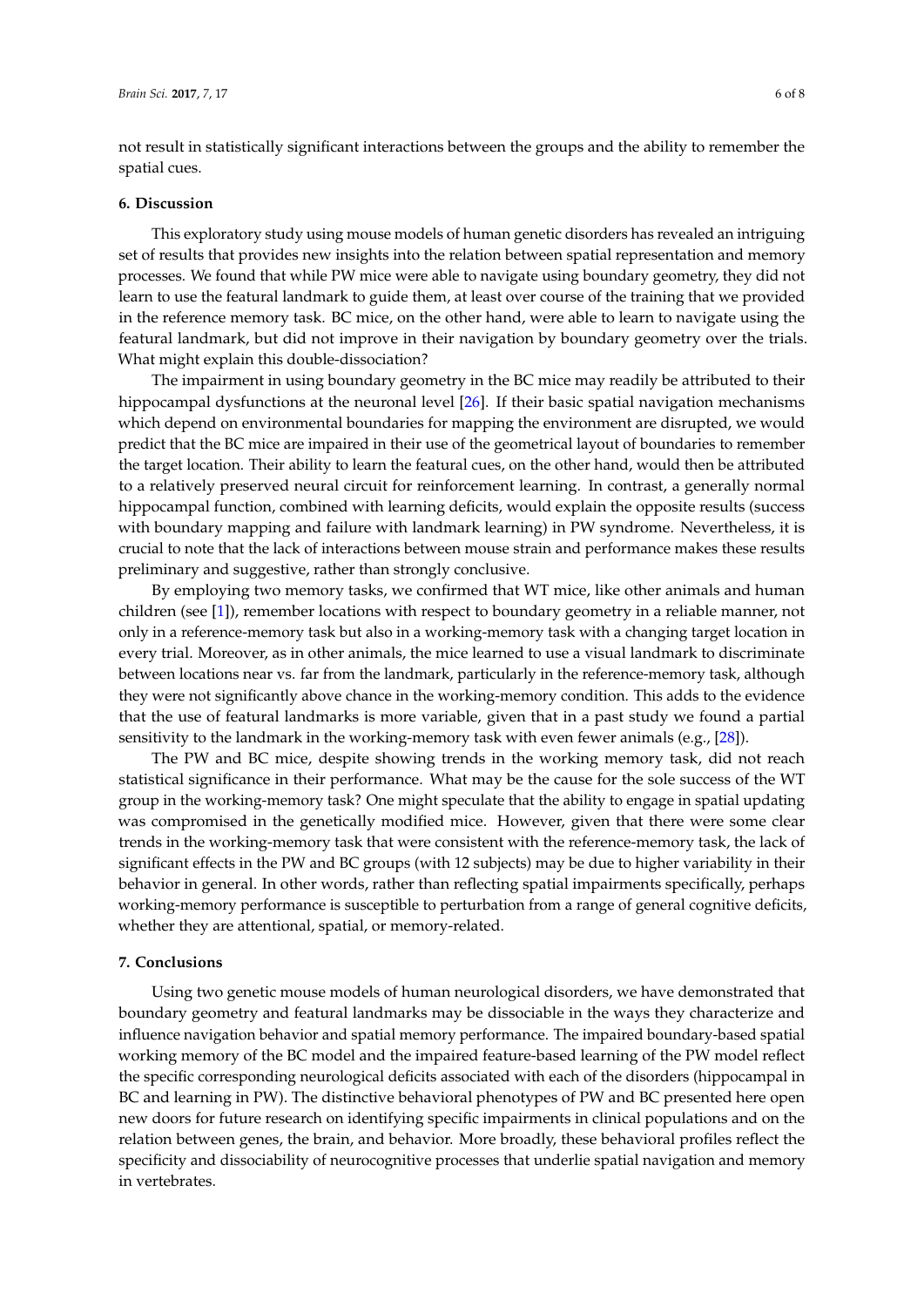not result in statistically significant interactions between the groups and the ability to remember the spatial cues.

#### **6. Discussion**

This exploratory study using mouse models of human genetic disorders has revealed an intriguing set of results that provides new insights into the relation between spatial representation and memory processes. We found that while PW mice were able to navigate using boundary geometry, they did not learn to use the featural landmark to guide them, at least over course of the training that we provided in the reference memory task. BC mice, on the other hand, were able to learn to navigate using the featural landmark, but did not improve in their navigation by boundary geometry over the trials. What might explain this double-dissociation?

The impairment in using boundary geometry in the BC mice may readily be attributed to their hippocampal dysfunctions at the neuronal level [\[26\]](#page-7-5). If their basic spatial navigation mechanisms which depend on environmental boundaries for mapping the environment are disrupted, we would predict that the BC mice are impaired in their use of the geometrical layout of boundaries to remember the target location. Their ability to learn the featural cues, on the other hand, would then be attributed to a relatively preserved neural circuit for reinforcement learning. In contrast, a generally normal hippocampal function, combined with learning deficits, would explain the opposite results (success with boundary mapping and failure with landmark learning) in PW syndrome. Nevertheless, it is crucial to note that the lack of interactions between mouse strain and performance makes these results preliminary and suggestive, rather than strongly conclusive.

By employing two memory tasks, we confirmed that WT mice, like other animals and human children (see [\[1\]](#page-6-0)), remember locations with respect to boundary geometry in a reliable manner, not only in a reference-memory task but also in a working-memory task with a changing target location in every trial. Moreover, as in other animals, the mice learned to use a visual landmark to discriminate between locations near vs. far from the landmark, particularly in the reference-memory task, although they were not significantly above chance in the working-memory condition. This adds to the evidence that the use of featural landmarks is more variable, given that in a past study we found a partial sensitivity to the landmark in the working-memory task with even fewer animals (e.g., [\[28\]](#page-7-7)).

The PW and BC mice, despite showing trends in the working memory task, did not reach statistical significance in their performance. What may be the cause for the sole success of the WT group in the working-memory task? One might speculate that the ability to engage in spatial updating was compromised in the genetically modified mice. However, given that there were some clear trends in the working-memory task that were consistent with the reference-memory task, the lack of significant effects in the PW and BC groups (with 12 subjects) may be due to higher variability in their behavior in general. In other words, rather than reflecting spatial impairments specifically, perhaps working-memory performance is susceptible to perturbation from a range of general cognitive deficits, whether they are attentional, spatial, or memory-related.

#### **7. Conclusions**

Using two genetic mouse models of human neurological disorders, we have demonstrated that boundary geometry and featural landmarks may be dissociable in the ways they characterize and influence navigation behavior and spatial memory performance. The impaired boundary-based spatial working memory of the BC model and the impaired feature-based learning of the PW model reflect the specific corresponding neurological deficits associated with each of the disorders (hippocampal in BC and learning in PW). The distinctive behavioral phenotypes of PW and BC presented here open new doors for future research on identifying specific impairments in clinical populations and on the relation between genes, the brain, and behavior. More broadly, these behavioral profiles reflect the specificity and dissociability of neurocognitive processes that underlie spatial navigation and memory in vertebrates.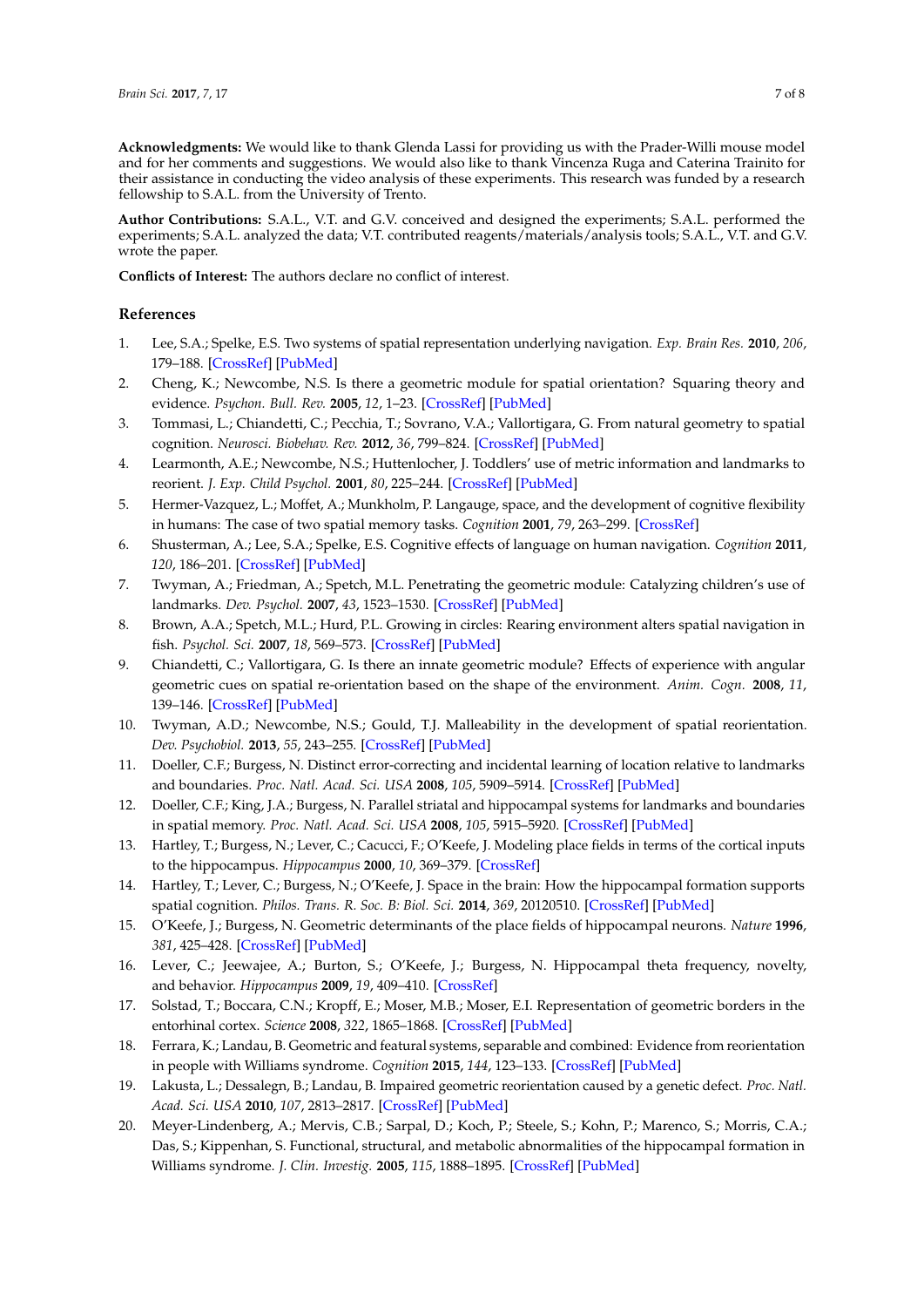**Acknowledgments:** We would like to thank Glenda Lassi for providing us with the Prader-Willi mouse model and for her comments and suggestions. We would also like to thank Vincenza Ruga and Caterina Trainito for their assistance in conducting the video analysis of these experiments. This research was funded by a research fellowship to S.A.L. from the University of Trento.

**Author Contributions:** S.A.L., V.T. and G.V. conceived and designed the experiments; S.A.L. performed the experiments; S.A.L. analyzed the data; V.T. contributed reagents/materials/analysis tools; S.A.L., V.T. and G.V. wrote the paper.

**Conflicts of Interest:** The authors declare no conflict of interest.

### **References**

- <span id="page-6-0"></span>1. Lee, S.A.; Spelke, E.S. Two systems of spatial representation underlying navigation. *Exp. Brain Res.* **2010**, *206*, 179–188. [\[CrossRef\]](http://dx.doi.org/10.1007/s00221-010-2349-5) [\[PubMed\]](http://www.ncbi.nlm.nih.gov/pubmed/20614214)
- <span id="page-6-1"></span>2. Cheng, K.; Newcombe, N.S. Is there a geometric module for spatial orientation? Squaring theory and evidence. *Psychon. Bull. Rev.* **2005**, *12*, 1–23. [\[CrossRef\]](http://dx.doi.org/10.3758/BF03196346) [\[PubMed\]](http://www.ncbi.nlm.nih.gov/pubmed/15945200)
- <span id="page-6-2"></span>3. Tommasi, L.; Chiandetti, C.; Pecchia, T.; Sovrano, V.A.; Vallortigara, G. From natural geometry to spatial cognition. *Neurosci. Biobehav. Rev.* **2012**, *36*, 799–824. [\[CrossRef\]](http://dx.doi.org/10.1016/j.neubiorev.2011.12.007) [\[PubMed\]](http://www.ncbi.nlm.nih.gov/pubmed/22206900)
- <span id="page-6-3"></span>4. Learmonth, A.E.; Newcombe, N.S.; Huttenlocher, J. Toddlers' use of metric information and landmarks to reorient. *J. Exp. Child Psychol.* **2001**, *80*, 225–244. [\[CrossRef\]](http://dx.doi.org/10.1006/jecp.2001.2635) [\[PubMed\]](http://www.ncbi.nlm.nih.gov/pubmed/11583524)
- <span id="page-6-4"></span>5. Hermer-Vazquez, L.; Moffet, A.; Munkholm, P. Langauge, space, and the development of cognitive flexibility in humans: The case of two spatial memory tasks. *Cognition* **2001**, *79*, 263–299. [\[CrossRef\]](http://dx.doi.org/10.1016/S0010-0277(00)00120-7)
- <span id="page-6-5"></span>6. Shusterman, A.; Lee, S.A.; Spelke, E.S. Cognitive effects of language on human navigation. *Cognition* **2011**, *120*, 186–201. [\[CrossRef\]](http://dx.doi.org/10.1016/j.cognition.2011.04.004) [\[PubMed\]](http://www.ncbi.nlm.nih.gov/pubmed/21665199)
- <span id="page-6-6"></span>7. Twyman, A.; Friedman, A.; Spetch, M.L. Penetrating the geometric module: Catalyzing children's use of landmarks. *Dev. Psychol.* **2007**, *43*, 1523–1530. [\[CrossRef\]](http://dx.doi.org/10.1037/0012-1649.43.6.1523) [\[PubMed\]](http://www.ncbi.nlm.nih.gov/pubmed/18020829)
- <span id="page-6-7"></span>8. Brown, A.A.; Spetch, M.L.; Hurd, P.L. Growing in circles: Rearing environment alters spatial navigation in fish. *Psychol. Sci.* **2007**, *18*, 569–573. [\[CrossRef\]](http://dx.doi.org/10.1111/j.1467-9280.2007.01941.x) [\[PubMed\]](http://www.ncbi.nlm.nih.gov/pubmed/17614863)
- <span id="page-6-8"></span>9. Chiandetti, C.; Vallortigara, G. Is there an innate geometric module? Effects of experience with angular geometric cues on spatial re-orientation based on the shape of the environment. *Anim. Cogn.* **2008**, *11*, 139–146. [\[CrossRef\]](http://dx.doi.org/10.1007/s10071-007-0099-y) [\[PubMed\]](http://www.ncbi.nlm.nih.gov/pubmed/17629754)
- <span id="page-6-9"></span>10. Twyman, A.D.; Newcombe, N.S.; Gould, T.J. Malleability in the development of spatial reorientation. *Dev. Psychobiol.* **2013**, *55*, 243–255. [\[CrossRef\]](http://dx.doi.org/10.1002/dev.21017) [\[PubMed\]](http://www.ncbi.nlm.nih.gov/pubmed/22407824)
- <span id="page-6-10"></span>11. Doeller, C.F.; Burgess, N. Distinct error-correcting and incidental learning of location relative to landmarks and boundaries. *Proc. Natl. Acad. Sci. USA* **2008**, *105*, 5909–5914. [\[CrossRef\]](http://dx.doi.org/10.1073/pnas.0711433105) [\[PubMed\]](http://www.ncbi.nlm.nih.gov/pubmed/18413609)
- <span id="page-6-11"></span>12. Doeller, C.F.; King, J.A.; Burgess, N. Parallel striatal and hippocampal systems for landmarks and boundaries in spatial memory. *Proc. Natl. Acad. Sci. USA* **2008**, *105*, 5915–5920. [\[CrossRef\]](http://dx.doi.org/10.1073/pnas.0801489105) [\[PubMed\]](http://www.ncbi.nlm.nih.gov/pubmed/18408152)
- <span id="page-6-12"></span>13. Hartley, T.; Burgess, N.; Lever, C.; Cacucci, F.; O'Keefe, J. Modeling place fields in terms of the cortical inputs to the hippocampus. *Hippocampus* **2000**, *10*, 369–379. [\[CrossRef\]](http://dx.doi.org/10.1002/1098-1063(2000)10:4<369::AID-HIPO3>3.0.CO;2-0)
- 14. Hartley, T.; Lever, C.; Burgess, N.; O'Keefe, J. Space in the brain: How the hippocampal formation supports spatial cognition. *Philos. Trans. R. Soc. B: Biol. Sci.* **2014**, *369*, 20120510. [\[CrossRef\]](http://dx.doi.org/10.1098/rstb.2012.0510) [\[PubMed\]](http://www.ncbi.nlm.nih.gov/pubmed/24366125)
- <span id="page-6-13"></span>15. O'Keefe, J.; Burgess, N. Geometric determinants of the place fields of hippocampal neurons. *Nature* **1996**, *381*, 425–428. [\[CrossRef\]](http://dx.doi.org/10.1038/381425a0) [\[PubMed\]](http://www.ncbi.nlm.nih.gov/pubmed/8632799)
- <span id="page-6-14"></span>16. Lever, C.; Jeewajee, A.; Burton, S.; O'Keefe, J.; Burgess, N. Hippocampal theta frequency, novelty, and behavior. *Hippocampus* **2009**, *19*, 409–410. [\[CrossRef\]](http://dx.doi.org/10.1002/hipo.20557)
- <span id="page-6-15"></span>17. Solstad, T.; Boccara, C.N.; Kropff, E.; Moser, M.B.; Moser, E.I. Representation of geometric borders in the entorhinal cortex. *Science* **2008**, *322*, 1865–1868. [\[CrossRef\]](http://dx.doi.org/10.1126/science.1166466) [\[PubMed\]](http://www.ncbi.nlm.nih.gov/pubmed/19095945)
- <span id="page-6-16"></span>18. Ferrara, K.; Landau, B. Geometric and featural systems, separable and combined: Evidence from reorientation in people with Williams syndrome. *Cognition* **2015**, *144*, 123–133. [\[CrossRef\]](http://dx.doi.org/10.1016/j.cognition.2015.07.010) [\[PubMed\]](http://www.ncbi.nlm.nih.gov/pubmed/26275835)
- <span id="page-6-17"></span>19. Lakusta, L.; Dessalegn, B.; Landau, B. Impaired geometric reorientation caused by a genetic defect. *Proc. Natl. Acad. Sci. USA* **2010**, *107*, 2813–2817. [\[CrossRef\]](http://dx.doi.org/10.1073/pnas.0909155107) [\[PubMed\]](http://www.ncbi.nlm.nih.gov/pubmed/20133673)
- <span id="page-6-18"></span>20. Meyer-Lindenberg, A.; Mervis, C.B.; Sarpal, D.; Koch, P.; Steele, S.; Kohn, P.; Marenco, S.; Morris, C.A.; Das, S.; Kippenhan, S. Functional, structural, and metabolic abnormalities of the hippocampal formation in Williams syndrome. *J. Clin. Investig.* **2005**, *115*, 1888–1895. [\[CrossRef\]](http://dx.doi.org/10.1172/JCI24892) [\[PubMed\]](http://www.ncbi.nlm.nih.gov/pubmed/15951840)